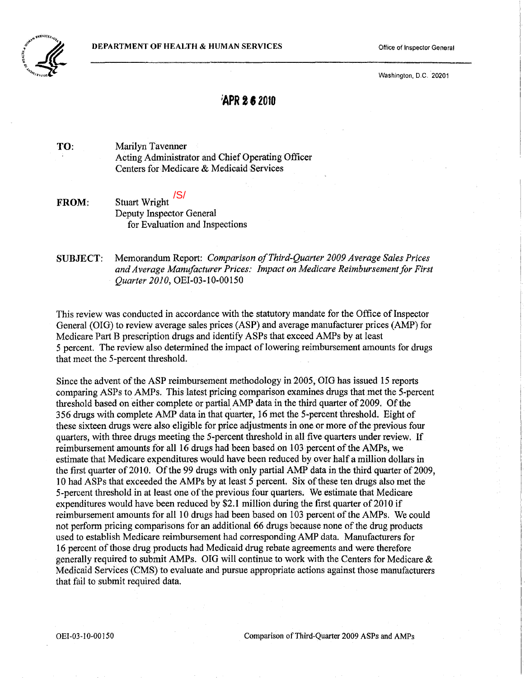

Washington, D.C. 20201

# **;APR 2.2010**

TO: Marilyn Tavenner Acting Administrator and Chief Operating Officer Centers for Medicare & Medicaid Services

FROM: Stuart Wright <sup>/S/</sup> Deputy Inspector General for Evaluation and Inspections

SUBJECT: Memorandum Report: *Comparison ofThird-Quarter 2009 Average Sales Prices*  and Average Manufacturer Prices: Impact on Medicare Reimbursement for First *Quarter 2010,* OEI-03-10-00150

This review was conducted in accordance with the statutory mandate for the Office of Inspector General (OIG) to review average sales prices (ASP) and average manufacturer prices (AMP) for Medicare Part B prescription drugs and identify ASPs that exceed AMPs by at least 5 percent. The review also determined the impact of lowering reimbursement amounts for drugs that meet the 5-percent threshold.

Since the advent of the ASP reimbursement methodology in 2005, OIG has issued 15 reports comparing ASPs to AMPs. This latest pricing comparison examines drugs that met the 5-percent threshold based on either complete or partial AMP data in the third quarter of 2009. Of the 356 drugs with complete AMP data in that quarter, 16 met the 5-percent threshold. Eight of these sixteen drugs were also eligible for price adjustments in one or more of the previous four quarters, with three drugs meeting the 5-percent threshold in all five quarters under review. If reimbursement amounts for all 16 drugs had been based on 103 percent of the AMPs, we estimate that Medicare expenditures would have been reduced by over half a million dollars in the first quarter of 2010. Of the 99 drugs with only partial AMP data in the third quarter of 2009, 10 had ASPs that exceeded the AMPs by at least 5 percent. Six ofthese ten drugs also met the 5-percent threshold in at least one of the previous four quarters. We estimate that Medicare expenditures would have been reduced by \$2.1 million during the first quarter of 2010 if reimbursement amounts for all 10 drugs had been based on 103 percent of the AMPs. We could not perform pricing comparisons for an additional 66 drugs because none of the drug products used to establish Medicare reimbursement had corresponding AMP data. Manufacturers for 16 percent of those drug products had Medicaid drug rebate agreements and were therefore generally required to submit AMPs. OIG will continue to work with the Centers for Medicare & Medicaid Services (CMS) to evaluate and pursue appropriate actions against those manufacturers that fail to submit required data.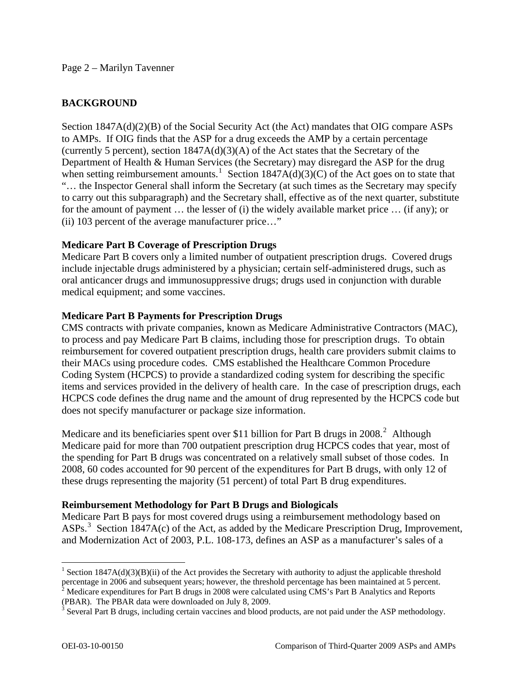### Page 2 – Marilyn Tavenner

## **BACKGROUND**

Section 1847A(d)(2)(B) of the Social Security Act (the Act) mandates that OIG compare ASPs to AMPs. If OIG finds that the ASP for a drug exceeds the AMP by a certain percentage (currently 5 percent), section 1847A(d)(3)(A) of the Act states that the Secretary of the Department of Health & Human Services (the Secretary) may disregard the ASP for the drug when setting reimbursement amounts.<sup>[1](#page-1-0)</sup> Section 1847A(d)(3)(C) of the Act goes on to state that "… the Inspector General shall inform the Secretary (at such times as the Secretary may specify to carry out this subparagraph) and the Secretary shall, effective as of the next quarter, substitute for the amount of payment … the lesser of (i) the widely available market price … (if any); or (ii) 103 percent of the average manufacturer price…"

### **Medicare Part B Coverage of Prescription Drugs**

Medicare Part B covers only a limited number of outpatient prescription drugs. Covered drugs include injectable drugs administered by a physician; certain self-administered drugs, such as oral anticancer drugs and immunosuppressive drugs; drugs used in conjunction with durable medical equipment; and some vaccines.

### **Medicare Part B Payments for Prescription Drugs**

CMS contracts with private companies, known as Medicare Administrative Contractors (MAC), to process and pay Medicare Part B claims, including those for prescription drugs. To obtain reimbursement for covered outpatient prescription drugs, health care providers submit claims to their MACs using procedure codes. CMS established the Healthcare Common Procedure Coding System (HCPCS) to provide a standardized coding system for describing the specific items and services provided in the delivery of health care. In the case of prescription drugs, each HCPCS code defines the drug name and the amount of drug represented by the HCPCS code but does not specify manufacturer or package size information.

Medicare and its beneficiaries spent over \$11 billion for Part B drugs in [2](#page-1-1)008.<sup>2</sup> Although Medicare paid for more than 700 outpatient prescription drug HCPCS codes that year, most of the spending for Part B drugs was concentrated on a relatively small subset of those codes. In 2008, 60 codes accounted for 90 percent of the expenditures for Part B drugs, with only 12 of these drugs representing the majority (51 percent) of total Part B drug expenditures.

### **Reimbursement Methodology for Part B Drugs and Biologicals**

Medicare Part B pays for most covered drugs using a reimbursement methodology based on ASPs.<sup>[3](#page-1-2)</sup> Section 1847A(c) of the Act, as added by the Medicare Prescription Drug, Improvement, and Modernization Act of 2003, P.L. 108-173, defines an ASP as a manufacturer's sales of a

<span id="page-1-0"></span><sup>&</sup>lt;sup>1</sup> Section 1847A(d)(3)(B)(ii) of the Act provides the Secretary with authority to adjust the applicable threshold percentage in 2006 and subsequent years; however, the threshold percentage has been maintained at 5 percent.<br><sup>2</sup> Medicare expenditures for Part B drugs in 2008 were calculated using CMS's Part B Analytics and Reports

<span id="page-1-1"></span><sup>(</sup>PBAR). The PBAR data were downloaded on July 8, 2009.

<span id="page-1-2"></span> $3$  Several Part B drugs, including certain vaccines and blood products, are not paid under the ASP methodology.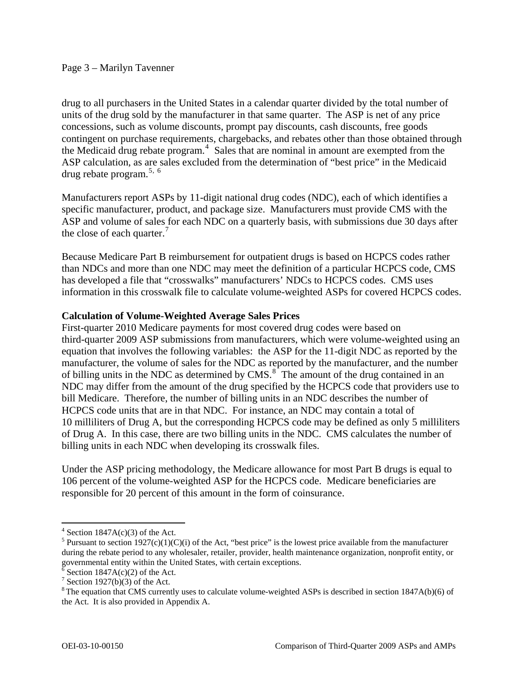drug to all purchasers in the United States in a calendar quarter divided by the total number of units of the drug sold by the manufacturer in that same quarter. The ASP is net of any price concessions, such as volume discounts, prompt pay discounts, cash discounts, free goods contingent on purchase requirements, chargebacks, and rebates other than those obtained through the Medicaid drug rebate program. $4$  Sales that are nominal in amount are exempted from the ASP calculation, as are sales excluded from the determination of "best price" in the Medicaid drug rebate program. $5, 6$  $5, 6$  $5, 6$ 

Manufacturers report ASPs by 11-digit national drug codes (NDC), each of which identifies a specific manufacturer, product, and package size. Manufacturers must provide CMS with the ASP and volume of sales for each NDC on a quarterly basis, with submissions due 30 days after the close of each quarter. $\frac{7}{7}$  $\frac{7}{7}$  $\frac{7}{7}$ 

Because Medicare Part B reimbursement for outpatient drugs is based on HCPCS codes rather than NDCs and more than one NDC may meet the definition of a particular HCPCS code, CMS has developed a file that "crosswalks" manufacturers' NDCs to HCPCS codes. CMS uses information in this crosswalk file to calculate volume-weighted ASPs for covered HCPCS codes.

## **Calculation of Volume-Weighted Average Sales Prices**

First-quarter 2010 Medicare payments for most covered drug codes were based on third-quarter 2009 ASP submissions from manufacturers, which were volume-weighted using an equation that involves the following variables: the ASP for the 11-digit NDC as reported by the manufacturer, the volume of sales for the NDC as reported by the manufacturer, and the number of billing units in the NDC as determined by  $CMS^8$  $CMS^8$ . The amount of the drug contained in an NDC may differ from the amount of the drug specified by the HCPCS code that providers use to bill Medicare. Therefore, the number of billing units in an NDC describes the number of HCPCS code units that are in that NDC. For instance, an NDC may contain a total of 10 milliliters of Drug A, but the corresponding HCPCS code may be defined as only 5 milliliters of Drug A. In this case, there are two billing units in the NDC. CMS calculates the number of billing units in each NDC when developing its crosswalk files.

Under the ASP pricing methodology, the Medicare allowance for most Part B drugs is equal to 106 percent of the volume-weighted ASP for the HCPCS code. Medicare beneficiaries are responsible for 20 percent of this amount in the form of coinsurance.

<span id="page-2-0"></span> $4$  Section 1847A(c)(3) of the Act.

<span id="page-2-1"></span><sup>&</sup>lt;sup>5</sup> Pursuant to section 1927(c)(1)(C)(i) of the Act, "best price" is the lowest price available from the manufacturer during the rebate period to any wholesaler, retailer, provider, health maintenance organization, nonprofit entity, or governmental entity within the United States, with certain exceptions.

<span id="page-2-2"></span> $\delta$  Section 1847A(c)(2) of the Act.

<span id="page-2-3"></span><sup>&</sup>lt;sup>7</sup> Section 1927(b)(3) of the Act.

<span id="page-2-4"></span><sup>&</sup>lt;sup>8</sup> The equation that CMS currently uses to calculate volume-weighted ASPs is described in section 1847A(b)(6) of the Act. It is also provided in Appendix A.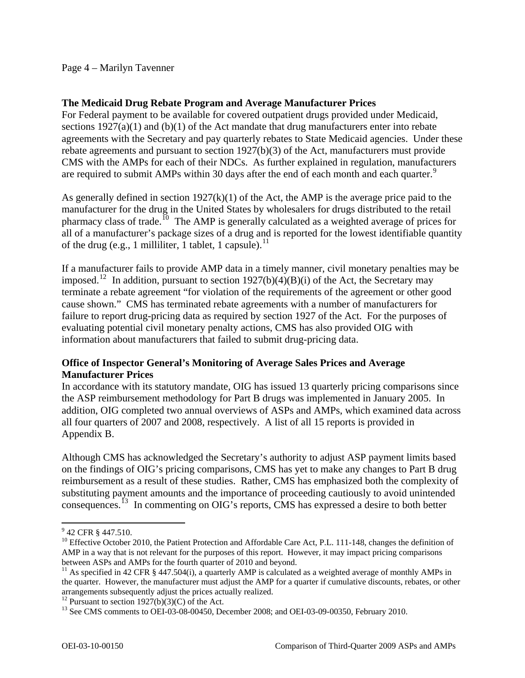### Page 4 – Marilyn Tavenner

### **The Medicaid Drug Rebate Program and Average Manufacturer Prices**

For Federal payment to be available for covered outpatient drugs provided under Medicaid, sections 1927(a)(1) and (b)(1) of the Act mandate that drug manufacturers enter into rebate agreements with the Secretary and pay quarterly rebates to State Medicaid agencies. Under these rebate agreements and pursuant to section 1927(b)(3) of the Act, manufacturers must provide CMS with the AMPs for each of their NDCs. As further explained in regulation, manufacturers are required to submit AMPs within 30 days after the end of each month and each quarter.<sup>[9](#page-3-0)</sup>

As generally defined in section  $1927(k)(1)$  of the Act, the AMP is the average price paid to the manufacturer for the drug in the United States by wholesalers for drugs distributed to the retail pharmacy class of trade.<sup>[10](#page-3-1)</sup> The AMP is generally calculated as a weighted average of prices for all of a manufacturer's package sizes of a drug and is reported for the lowest identifiable quantity of the drug (e.g., 1 milliliter, 1 tablet, 1 capsule).<sup>[11](#page-3-2)</sup>

If a manufacturer fails to provide AMP data in a timely manner, civil monetary penalties may be imposed.<sup>[12](#page-3-3)</sup> In addition, pursuant to section 1927(b)(4)(B)(i) of the Act, the Secretary may terminate a rebate agreement "for violation of the requirements of the agreement or other good cause shown." CMS has terminated rebate agreements with a number of manufacturers for failure to report drug-pricing data as required by section 1927 of the Act. For the purposes of evaluating potential civil monetary penalty actions, CMS has also provided OIG with information about manufacturers that failed to submit drug-pricing data.

## **Office of Inspector General's Monitoring of Average Sales Prices and Average Manufacturer Prices**

In accordance with its statutory mandate, OIG has issued 13 quarterly pricing comparisons since the ASP reimbursement methodology for Part B drugs was implemented in January 2005. In addition, OIG completed two annual overviews of ASPs and AMPs, which examined data across all four quarters of 2007 and 2008, respectively. A list of all 15 reports is provided in Appendix B.

Although CMS has acknowledged the Secretary's authority to adjust ASP payment limits based on the findings of OIG's pricing comparisons, CMS has yet to make any changes to Part B drug reimbursement as a result of these studies. Rather, CMS has emphasized both the complexity of substituting payment amounts and the importance of proceeding cautiously to avoid unintended consequences.[13](#page-3-4) In commenting on OIG's reports, CMS has expressed a desire to both better

<span id="page-3-0"></span><sup>&</sup>lt;sup>9</sup> 42 CFR § 447.510.

<span id="page-3-1"></span><sup>&</sup>lt;sup>10</sup> Effective October 2010, the Patient Protection and Affordable Care Act, P.L. 111-148, changes the definition of AMP in a way that is not relevant for the purposes of this report. However, it may impact pricing comparisons between ASPs and AMPs for the fourth quarter of 2010 and beyond.

<span id="page-3-2"></span><sup>&</sup>lt;sup>11</sup> As specified in 42 CFR § 447.504(i), a quarterly AMP is calculated as a weighted average of monthly AMPs in the quarter. However, the manufacturer must adjust the AMP for a quarter if cumulative discounts, rebates, or other arrangements subsequently adjust the prices actually realized.<br><sup>12</sup> Pursuant to section 1927(b)(3)(C) of the Act.

<span id="page-3-4"></span><span id="page-3-3"></span><sup>&</sup>lt;sup>13</sup> See CMS comments to OEI-03-08-00450, December 2008; and OEI-03-09-00350, February 2010.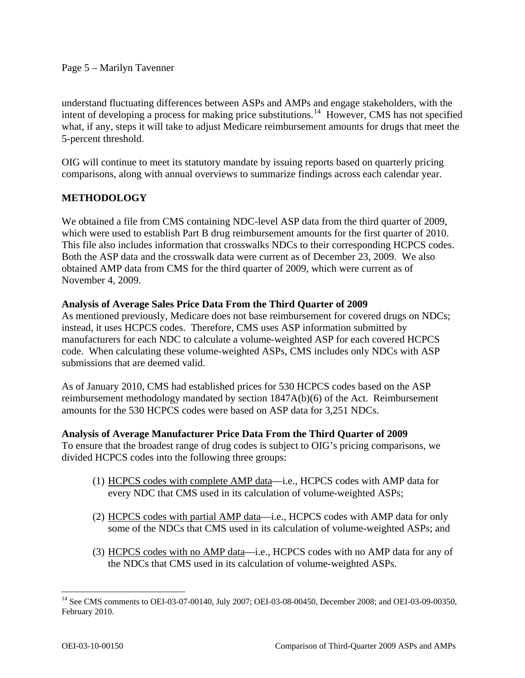### Page 5 – Marilyn Tavenner

understand fluctuating differences between ASPs and AMPs and engage stakeholders, with the intent of developing a process for making price substitutions.<sup>[14](#page-4-0)</sup> However, CMS has not specified what, if any, steps it will take to adjust Medicare reimbursement amounts for drugs that meet the 5-percent threshold.

OIG will continue to meet its statutory mandate by issuing reports based on quarterly pricing comparisons, along with annual overviews to summarize findings across each calendar year.

## **METHODOLOGY**

We obtained a file from CMS containing NDC-level ASP data from the third quarter of 2009, which were used to establish Part B drug reimbursement amounts for the first quarter of 2010. This file also includes information that crosswalks NDCs to their corresponding HCPCS codes. Both the ASP data and the crosswalk data were current as of December 23, 2009. We also obtained AMP data from CMS for the third quarter of 2009, which were current as of November 4, 2009.

### **Analysis of Average Sales Price Data From the Third Quarter of 2009**

As mentioned previously, Medicare does not base reimbursement for covered drugs on NDCs; instead, it uses HCPCS codes. Therefore, CMS uses ASP information submitted by manufacturers for each NDC to calculate a volume-weighted ASP for each covered HCPCS code. When calculating these volume-weighted ASPs, CMS includes only NDCs with ASP submissions that are deemed valid.

As of January 2010, CMS had established prices for 530 HCPCS codes based on the ASP reimbursement methodology mandated by section 1847A(b)(6) of the Act. Reimbursement amounts for the 530 HCPCS codes were based on ASP data for 3,251 NDCs.

### **Analysis of Average Manufacturer Price Data From the Third Quarter of 2009**

To ensure that the broadest range of drug codes is subject to OIG's pricing comparisons, we divided HCPCS codes into the following three groups:

- (1) HCPCS codes with complete AMP data—i.e., HCPCS codes with AMP data for every NDC that CMS used in its calculation of volume-weighted ASPs;
- (2) HCPCS codes with partial AMP data—i.e., HCPCS codes with AMP data for only some of the NDCs that CMS used in its calculation of volume-weighted ASPs; and
- (3) HCPCS codes with no AMP data—i.e., HCPCS codes with no AMP data for any of the NDCs that CMS used in its calculation of volume-weighted ASPs.

<span id="page-4-0"></span> $\overline{a}$ <sup>14</sup> See CMS comments to OEI-03-07-00140, July 2007; OEI-03-08-00450, December 2008; and OEI-03-09-00350, February 2010.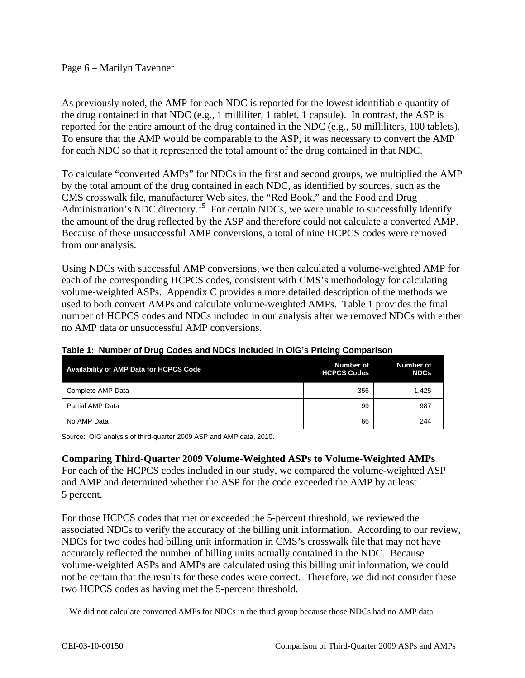### Page 6 – Marilyn Tavenner

As previously noted, the AMP for each NDC is reported for the lowest identifiable quantity of the drug contained in that NDC (e.g., 1 milliliter, 1 tablet, 1 capsule). In contrast, the ASP is reported for the entire amount of the drug contained in the NDC (e.g., 50 milliliters, 100 tablets). To ensure that the AMP would be comparable to the ASP, it was necessary to convert the AMP for each NDC so that it represented the total amount of the drug contained in that NDC.

To calculate "converted AMPs" for NDCs in the first and second groups, we multiplied the AMP by the total amount of the drug contained in each NDC, as identified by sources, such as the CMS crosswalk file, manufacturer Web sites, the "Red Book," and the Food and Drug Administration's NDC directory.<sup>[15](#page-5-0)</sup> For certain NDCs, we were unable to successfully identify the amount of the drug reflected by the ASP and therefore could not calculate a converted AMP. Because of these unsuccessful AMP conversions, a total of nine HCPCS codes were removed from our analysis.

Using NDCs with successful AMP conversions, we then calculated a volume-weighted AMP for each of the corresponding HCPCS codes, consistent with CMS's methodology for calculating volume-weighted ASPs. Appendix C provides a more detailed description of the methods we used to both convert AMPs and calculate volume-weighted AMPs. Table 1 provides the final number of HCPCS codes and NDCs included in our analysis after we removed NDCs with either no AMP data or unsuccessful AMP conversions.

| <b>Availability of AMP Data for HCPCS Code</b> | Number of<br><b>HCPCS Codes</b> | Number of<br><b>NDCs</b> |
|------------------------------------------------|---------------------------------|--------------------------|
| Complete AMP Data                              | 356                             | 1.425                    |
| Partial AMP Data                               | 99                              | 987                      |
| No AMP Data                                    | 66                              | 244                      |

### **Table 1: Number of Drug Codes and NDCs Included in OIG's Pricing Comparison**

Source: OIG analysis of third-quarter 2009 ASP and AMP data, 2010.

### **Comparing Third-Quarter 2009 Volume-Weighted ASPs to Volume-Weighted AMPs**

For each of the HCPCS codes included in our study, we compared the volume-weighted ASP and AMP and determined whether the ASP for the code exceeded the AMP by at least 5 percent.

For those HCPCS codes that met or exceeded the 5-percent threshold, we reviewed the associated NDCs to verify the accuracy of the billing unit information. According to our review, NDCs for two codes had billing unit information in CMS's crosswalk file that may not have accurately reflected the number of billing units actually contained in the NDC. Because volume-weighted ASPs and AMPs are calculated using this billing unit information, we could not be certain that the results for these codes were correct. Therefore, we did not consider these two HCPCS codes as having met the 5-percent threshold.

<span id="page-5-0"></span><sup>&</sup>lt;sup>15</sup> We did not calculate converted AMPs for NDCs in the third group because those NDCs had no AMP data.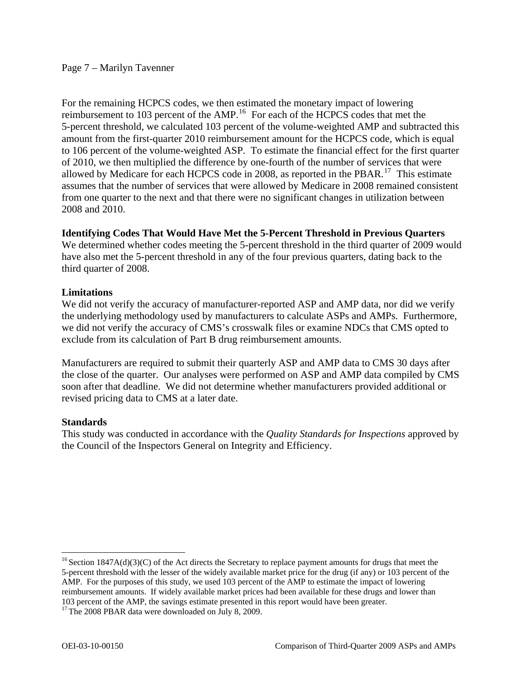For the remaining HCPCS codes, we then estimated the monetary impact of lowering reimbursement to 103 percent of the AMP.<sup>[16](#page-6-0)</sup> For each of the HCPCS codes that met the 5-percent threshold, we calculated 103 percent of the volume-weighted AMP and subtracted this amount from the first-quarter 2010 reimbursement amount for the HCPCS code, which is equal to 106 percent of the volume-weighted ASP. To estimate the financial effect for the first quarter of 2010, we then multiplied the difference by one-fourth of the number of services that were allowed by Medicare for each HCPCS code in 2008, as reported in the PBAR.<sup>[17](#page-6-1)</sup> This estimate assumes that the number of services that were allowed by Medicare in 2008 remained consistent from one quarter to the next and that there were no significant changes in utilization between 2008 and 2010.

## **Identifying Codes That Would Have Met the 5-Percent Threshold in Previous Quarters**

We determined whether codes meeting the 5-percent threshold in the third quarter of 2009 would have also met the 5-percent threshold in any of the four previous quarters, dating back to the third quarter of 2008.

## **Limitations**

We did not verify the accuracy of manufacturer-reported ASP and AMP data, nor did we verify the underlying methodology used by manufacturers to calculate ASPs and AMPs. Furthermore, we did not verify the accuracy of CMS's crosswalk files or examine NDCs that CMS opted to exclude from its calculation of Part B drug reimbursement amounts.

Manufacturers are required to submit their quarterly ASP and AMP data to CMS 30 days after the close of the quarter. Our analyses were performed on ASP and AMP data compiled by CMS soon after that deadline. We did not determine whether manufacturers provided additional or revised pricing data to CMS at a later date.

## **Standards**

 $\overline{a}$ 

This study was conducted in accordance with the *Quality Standards for Inspections* approved by the Council of the Inspectors General on Integrity and Efficiency.

<span id="page-6-0"></span><sup>&</sup>lt;sup>16</sup> Section 1847A(d)(3)(C) of the Act directs the Secretary to replace payment amounts for drugs that meet the 5-percent threshold with the lesser of the widely available market price for the drug (if any) or 103 percent of the AMP. For the purposes of this study, we used 103 percent of the AMP to estimate the impact of lowering reimbursement amounts. If widely available market prices had been available for these drugs and lower than 103 percent of the AMP, the savings estimate presented in this report would have been greater.

<span id="page-6-1"></span> $17$  The 2008 PBAR data were downloaded on July 8, 2009.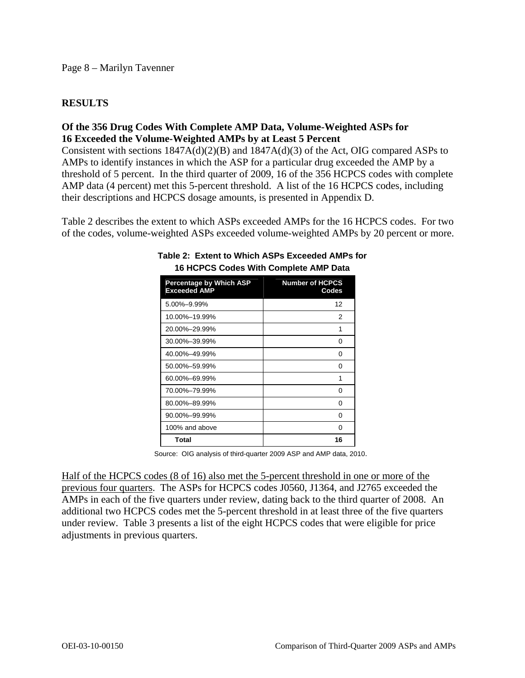## **RESULTS**

## **Of the 356 Drug Codes With Complete AMP Data, Volume-Weighted ASPs for 16 Exceeded the Volume-Weighted AMPs by at Least 5 Percent**

Consistent with sections 1847A(d)(2)(B) and 1847A(d)(3) of the Act, OIG compared ASPs to AMPs to identify instances in which the ASP for a particular drug exceeded the AMP by a threshold of 5 percent. In the third quarter of 2009, 16 of the 356 HCPCS codes with complete AMP data (4 percent) met this 5-percent threshold. A list of the 16 HCPCS codes, including their descriptions and HCPCS dosage amounts, is presented in Appendix D.

Table 2 describes the extent to which ASPs exceeded AMPs for the 16 HCPCS codes. For two of the codes, volume-weighted ASPs exceeded volume-weighted AMPs by 20 percent or more.

| <b>Percentage by Which ASP</b><br><b>Exceeded AMP</b> | <b>Number of HCPCS</b><br>Codes |
|-------------------------------------------------------|---------------------------------|
| 5.00%-9.99%                                           | 12                              |
| 10.00%-19.99%                                         | 2                               |
| 20.00%-29.99%                                         | 1                               |
| 30.00%-39.99%                                         | 0                               |
| 40.00%-49.99%                                         | 0                               |
| 50.00%-59.99%                                         | 0                               |
| 60.00%-69.99%                                         | 1                               |
| 70.00%-79.99%                                         | 0                               |
| 80.00%-89.99%                                         | 0                               |
| 90.00%-99.99%                                         | 0                               |
| 100% and above                                        | O                               |
| Total                                                 | 16                              |

#### **Table 2: Extent to Which ASPs Exceeded AMPs for 16 HCPCS Codes With Complete AMP Data**

Source: OIG analysis of third-quarter 2009 ASP and AMP data, 2010.

Half of the HCPCS codes (8 of 16) also met the 5-percent threshold in one or more of the previous four quarters. The ASPs for HCPCS codes J0560, J1364, and J2765 exceeded the AMPs in each of the five quarters under review, dating back to the third quarter of 2008. An additional two HCPCS codes met the 5-percent threshold in at least three of the five quarters under review. Table 3 presents a list of the eight HCPCS codes that were eligible for price adjustments in previous quarters.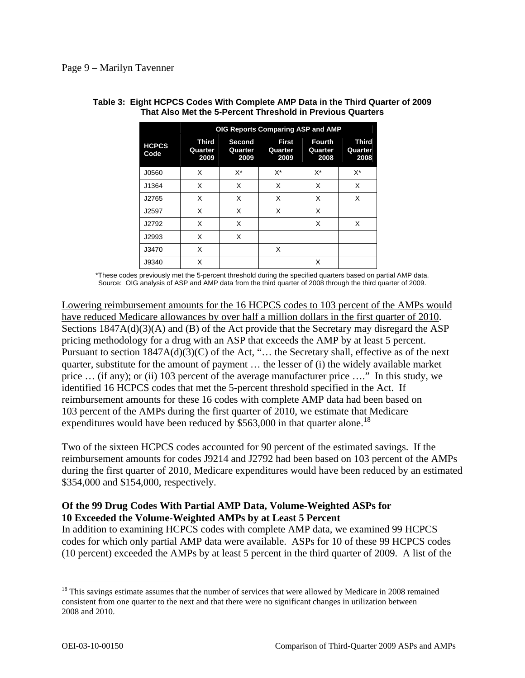|                      | OIG Reports Comparing ASP and AMP |                                  |                                 |                                  |                          |
|----------------------|-----------------------------------|----------------------------------|---------------------------------|----------------------------------|--------------------------|
| <b>HCPCS</b><br>Code | Third<br>Quarter<br>2009          | <b>Second</b><br>Quarter<br>2009 | <b>First</b><br>Quarter<br>2009 | <b>Fourth</b><br>Quarter<br>2008 | Third<br>Quarter<br>2008 |
| J0560                | X                                 | $X^*$                            | $X^*$                           | X*                               | X*                       |
| J1364                | X                                 | X                                | X                               | X                                | X                        |
| J2765                | X                                 | X                                | X                               | X                                | X                        |
| J2597                | X                                 | X                                | X                               | X                                |                          |
| J2792                | X                                 | X                                |                                 | X                                | X                        |
| J2993                | X                                 | X                                |                                 |                                  |                          |
| J3470                | X                                 |                                  | X                               |                                  |                          |
| J9340                | X                                 |                                  |                                 | X                                |                          |

#### **Table 3: Eight HCPCS Codes With Complete AMP Data in the Third Quarter of 2009 That Also Met the 5-Percent Threshold in Previous Quarters**

\*These codes previously met the 5-percent threshold during the specified quarters based on partial AMP data . Source: OIG analysis of ASP and AMP data from the third quarter of 2008 through the third quarter of 2009.

Lowering reimbursement amounts for the 16 HCPCS codes to 103 percent of the AMPs would have reduced Medicare allowances by over half a million dollars in the first quarter of 2010. Sections  $1847A(d)(3)(A)$  and (B) of the Act provide that the Secretary may disregard the ASP pricing methodology for a drug with an ASP that exceeds the AMP by at least 5 percent. Pursuant to section  $1847A(d)(3)(C)$  of the Act, "... the Secretary shall, effective as of the next quarter, substitute for the amount of payment … the lesser of (i) the widely available market price … (if any); or (ii) 103 percent of the average manufacturer price …." In this study, we identified 16 HCPCS codes that met the 5-percent threshold specified in the Act. If reimbursement amounts for these 16 codes with complete AMP data had been based on 103 percent of the AMPs during the first quarter of 2010, we estimate that Medicare expenditures would have been reduced by  $$563,000$  in that quarter alone.<sup>[18](#page-8-0)</sup>

Two of the sixteen HCPCS codes accounted for 90 percent of the estimated savings. If the reimbursement amounts for codes J9214 and J2792 had been based on 103 percent of the AMPs during the first quarter of 2010, Medicare expenditures would have been reduced by an estimated \$354,000 and \$154,000, respectively.

## **Of the 99 Drug Codes With Partial AMP Data, Volume-Weighted ASPs for 10 Exceeded the Volume-Weighted AMPs by at Least 5 Percent**

In addition to examining HCPCS codes with complete AMP data, we examined 99 HCPCS codes for which only partial AMP data were available. ASPs for 10 of these 99 HCPCS codes (10 percent) exceeded the AMPs by at least 5 percent in the third quarter of 2009. A list of the

<span id="page-8-0"></span><sup>&</sup>lt;sup>18</sup> This savings estimate assumes that the number of services that were allowed by Medicare in 2008 remained consistent from one quarter to the next and that there were no significant changes in utilization between 2008 and 2010.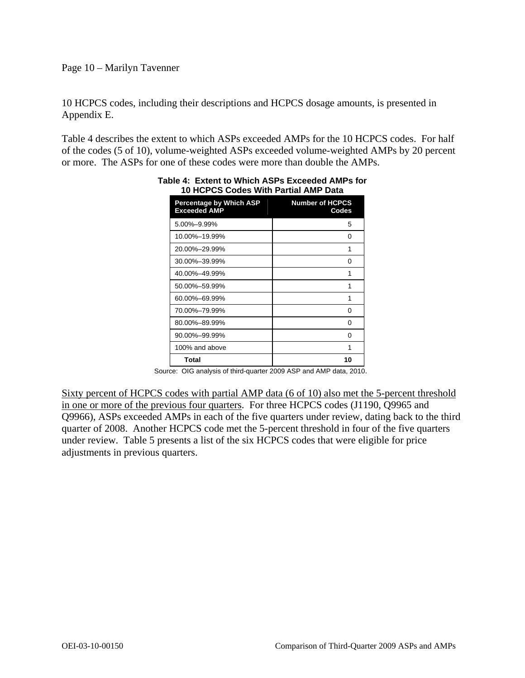### Page 10 – Marilyn Tavenner

10 HCPCS codes, including their descriptions and HCPCS dosage amounts, is presented in Appendix E.

Table 4 describes the extent to which ASPs exceeded AMPs for the 10 HCPCS codes. For half of the codes (5 of 10), volume-weighted ASPs exceeded volume-weighted AMPs by 20 percent or more. The ASPs for one of these codes were more than double the AMPs.

| Percentage by Which ASP<br><b>Exceeded AMP</b> | <b>Number of HCPCS</b><br>Codes |
|------------------------------------------------|---------------------------------|
| 5.00%-9.99%                                    | 5                               |
| 10.00%-19.99%                                  | 0                               |
| 20.00%-29.99%                                  | 1                               |
| 30.00%-39.99%                                  | ŋ                               |
| 40.00%-49.99%                                  | 1                               |
| 50.00%-59.99%                                  | 1                               |
| 60.00%-69.99%                                  | 1                               |
| 70.00%-79.99%                                  | 0                               |
| 80.00%-89.99%                                  | 0                               |
| 90.00%-99.99%                                  | 0                               |
| 100% and above                                 | 1                               |
| Total                                          | 10                              |

#### **Table 4: Extent to Which ASPs Exceeded AMPs for 10 HCPCS Codes With Partial AMP Data**

Source: OIG analysis of third-quarter 2009 ASP and AMP data, 2010.

Sixty percent of HCPCS codes with partial AMP data (6 of 10) also met the 5-percent threshold in one or more of the previous four quarters. For three HCPCS codes (J1190, Q9965 and Q9966), ASPs exceeded AMPs in each of the five quarters under review, dating back to the third quarter of 2008. Another HCPCS code met the 5-percent threshold in four of the five quarters under review. Table 5 presents a list of the six HCPCS codes that were eligible for price adjustments in previous quarters.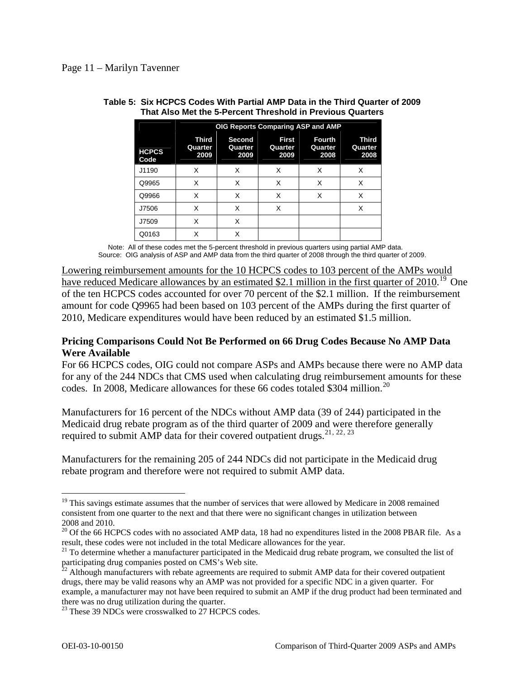|                      | OIG Reports Comparing ASP and AMP |                                  |                                 |                                  |                          |
|----------------------|-----------------------------------|----------------------------------|---------------------------------|----------------------------------|--------------------------|
| <b>HCPCS</b><br>Code | <b>Third</b><br>Quarter<br>2009   | <b>Second</b><br>Quarter<br>2009 | <b>First</b><br>Quarter<br>2009 | <b>Fourth</b><br>Quarter<br>2008 | Third<br>Quarter<br>2008 |
| J1190                | X                                 | X                                | X                               | X                                | X                        |
| Q9965                | X                                 | X                                | X                               | X                                | X                        |
| Q9966                | X                                 | X                                | X                               | X                                | X                        |
| J7506                | X                                 | X                                | X                               |                                  | Χ                        |
| J7509                | X                                 | X                                |                                 |                                  |                          |
| Q0163                | Χ                                 | Χ                                |                                 |                                  |                          |

#### **Table 5: Six HCPCS Codes With Partial AMP Data in the Third Quarter of 2009 That Also Met the 5-Percent Threshold in Previous Quarters**

Note: All of these codes met the 5-percent threshold in previous quarters using partial AMP data. Source: OIG analysis of ASP and AMP data from the third quarter of 2008 through the third quarter of 2009.

Lowering reimbursement amounts for the 10 HCPCS codes to 103 percent of the AMPs would have reduced Medicare allowances by an estimated \$2.1 million in the first quarter of 2010.<sup>[19](#page-10-0)</sup> One of the ten HCPCS codes accounted for over 70 percent of the \$2.1 million. If the reimbursement amount for code Q9965 had been based on 103 percent of the AMPs during the first quarter of 2010, Medicare expenditures would have been reduced by an estimated \$1.5 million.

## **Pricing Comparisons Could Not Be Performed on 66 Drug Codes Because No AMP Data Were Available**

For 66 HCPCS codes, OIG could not compare ASPs and AMPs because there were no AMP data for any of the 244 NDCs that CMS used when calculating drug reimbursement amounts for these codes. In [20](#page-10-1)08, Medicare allowances for these 66 codes totaled \$304 million.<sup>20</sup>

Manufacturers for 16 percent of the NDCs without AMP data (39 of 244) participated in the Medicaid drug rebate program as of the third quarter of 2009 and were therefore generally required to submit AMP data for their covered outpatient drugs.<sup>[21](#page-10-2), [22](#page-10-3), [23](#page-10-4)</sup>

Manufacturers for the remaining 205 of 244 NDCs did not participate in the Medicaid drug rebate program and therefore were not required to submit AMP data.

<span id="page-10-0"></span> $19$  This savings estimate assumes that the number of services that were allowed by Medicare in 2008 remained consistent from one quarter to the next and that there were no significant changes in utilization between 2008 and 2010.

<span id="page-10-1"></span> $20$  Of the 66 HCPCS codes with no associated AMP data, 18 had no expenditures listed in the 2008 PBAR file. As a result, these codes were not included in the total Medicare allowances for the year.

<span id="page-10-2"></span> $21$  To determine whether a manufacturer participated in the Medicaid drug rebate program, we consulted the list of participating drug companies posted on CMS's Web site.

<span id="page-10-3"></span> $^{22}$  Although manufacturers with rebate agreements are required to submit AMP data for their covered outpatient drugs, there may be valid reasons why an AMP was not provided for a specific NDC in a given quarter. For example, a manufacturer may not have been required to submit an AMP if the drug product had been terminated and there was no drug utilization during the quarter.

<span id="page-10-4"></span><sup>&</sup>lt;sup>23</sup> These 39 NDCs were crosswalked to 27 HCPCS codes.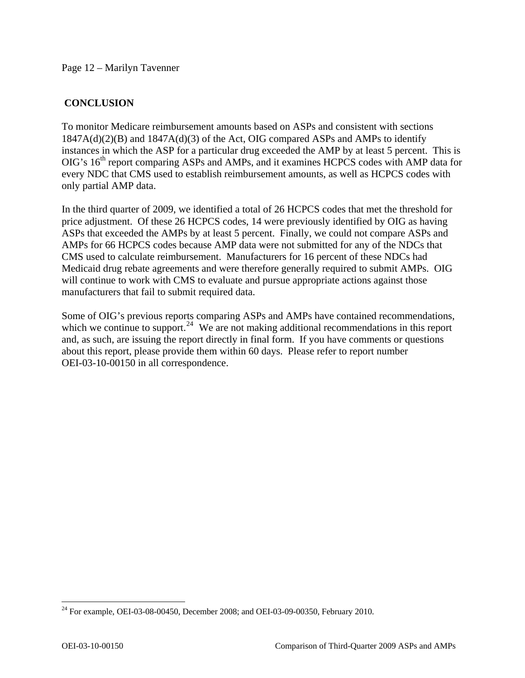## **CONCLUSION**

To monitor Medicare reimbursement amounts based on ASPs and consistent with sections  $1847A(d)(2)(B)$  and  $1847A(d)(3)$  of the Act, OIG compared ASPs and AMPs to identify instances in which the ASP for a particular drug exceeded the AMP by at least 5 percent. This is  $OIG's 16<sup>th</sup>$  report comparing ASPs and AMPs, and it examines HCPCS codes with AMP data for every NDC that CMS used to establish reimbursement amounts, as well as HCPCS codes with only partial AMP data.

In the third quarter of 2009, we identified a total of 26 HCPCS codes that met the threshold for price adjustment. Of these 26 HCPCS codes, 14 were previously identified by OIG as having ASPs that exceeded the AMPs by at least 5 percent. Finally, we could not compare ASPs and AMPs for 66 HCPCS codes because AMP data were not submitted for any of the NDCs that CMS used to calculate reimbursement. Manufacturers for 16 percent of these NDCs had Medicaid drug rebate agreements and were therefore generally required to submit AMPs. OIG will continue to work with CMS to evaluate and pursue appropriate actions against those manufacturers that fail to submit required data.

Some of OIG's previous reports comparing ASPs and AMPs have contained recommendations, which we continue to support.<sup>[24](#page-11-0)</sup> We are not making additional recommendations in this report and, as such, are issuing the report directly in final form. If you have comments or questions about this report, please provide them within 60 days. Please refer to report number OEI-03-10-00150 in all correspondence.

<span id="page-11-0"></span><sup>&</sup>lt;sup>24</sup> For example, OEI-03-08-00450, December 2008; and OEI-03-09-00350, February 2010.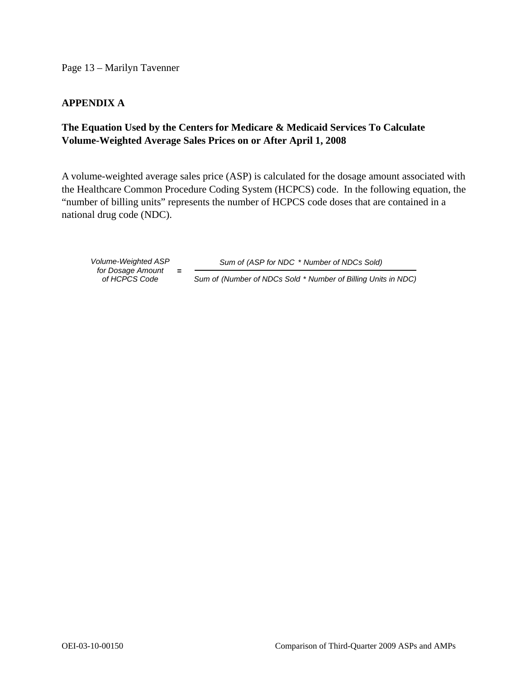Page 13 – Marilyn Tavenner

## **APPENDIX A**

## **The Equation Used by the Centers for Medicare & Medicaid Services To Calculate Volume-Weighted Average Sales Prices on or After April 1, 2008**

A volume-weighted average sales price (ASP) is calculated for the dosage amount associated with the Healthcare Common Procedure Coding System (HCPCS) code. In the following equation, the "number of billing units" represents the number of HCPCS code doses that are contained in a national drug code (NDC).

*of HCPCS Co de for Dosage Amount* **=** 

*Volume-Weighted ASP Sum of (ASP for NDC* \* *Number of NDCs Sold)*

*Sum of (Number of NDCs Sold* \* *Number of Billing Units in NDC)*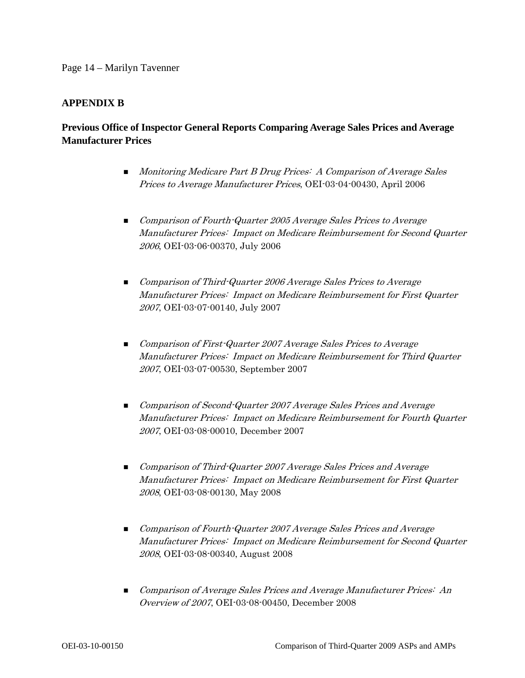### **APPENDIX B**

## **Previous Office of Inspector General Reports Comparing Average Sales Prices and Average Manufacturer Prices**

- **Monitoring Medicare Part B Drug Prices: A Comparison of Average Sales** Prices to Average Manufacturer Prices, OEI-03-04-00430, April 2006
- Comparison of Fourth-Quarter 2005 Average Sales Prices to Average Manufacturer Prices: Impact on Medicare Reimbursement for Second Quarter 2006, OEI-03-06-00370, July 2006
- Comparison of Third-Quarter 2006 Average Sales Prices to Average Manufacturer Prices: Impact on Medicare Reimbursement for First Quarter 2007, OEI-03-07-00140, July 2007
- **Comparison of First-Quarter 2007 Average Sales Prices to Average** Manufacturer Prices: Impact on Medicare Reimbursement for Third Quarter 2007, OEI-03-07-00530, September 2007
- Comparison of Second-Quarter 2007 Average Sales Prices and Average Manufacturer Prices: Impact on Medicare Reimbursement for Fourth Quarter 2007, OEI-03-08-00010, December 2007
- **Demonstrate Comparison of Third-Quarter 2007 Average Sales Prices and Average** Manufacturer Prices: Impact on Medicare Reimbursement for First Quarter 2008, OEI-03-08-00130, May 2008
- **Comparison of Fourth-Quarter 2007 Average Sales Prices and Average** Manufacturer Prices: Impact on Medicare Reimbursement for Second Quarter 2008, OEI-03-08-00340, August 2008
- **Comparison of Average Sales Prices and Average Manufacturer Prices: An** Overview of 2007, OEI-03-08-00450, December 2008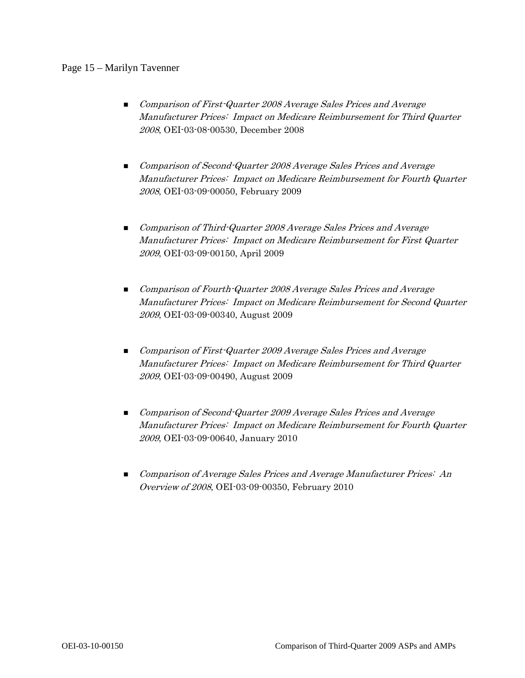### Page 15 – Marilyn Tavenner

- **Comparison of First-Quarter 2008 Average Sales Prices and Average** Manufacturer Prices: Impact on Medicare Reimbursement for Third Quarter 2008, OEI-03-08-00530, December 2008
- **Comparison of Second-Quarter 2008 Average Sales Prices and Average** Manufacturer Prices: Impact on Medicare Reimbursement for Fourth Quarter 2008, OEI-03-09-00050, February 2009
- **Demonstrian Comparison of Third-Quarter 2008 Average Sales Prices and Average** Manufacturer Prices: Impact on Medicare Reimbursement for First Quarter 2009, OEI-03-09-00150, April 2009
- **n** Comparison of Fourth-Quarter 2008 Average Sales Prices and Average Manufacturer Prices: Impact on Medicare Reimbursement for Second Quarter 2009, OEI-03-09-00340, August 2009
- **Comparison of First-Quarter 2009 Average Sales Prices and Average** Manufacturer Prices: Impact on Medicare Reimbursement for Third Quarter 2009, OEI-03-09-00490, August 2009
- Comparison of Second-Quarter 2009 Average Sales Prices and Average Manufacturer Prices: Impact on Medicare Reimbursement for Fourth Quarter 2009, OEI-03-09-00640, January 2010
- **Comparison of Average Sales Prices and Average Manufacturer Prices: An** Overview of 2008, OEI-03-09-00350, February 2010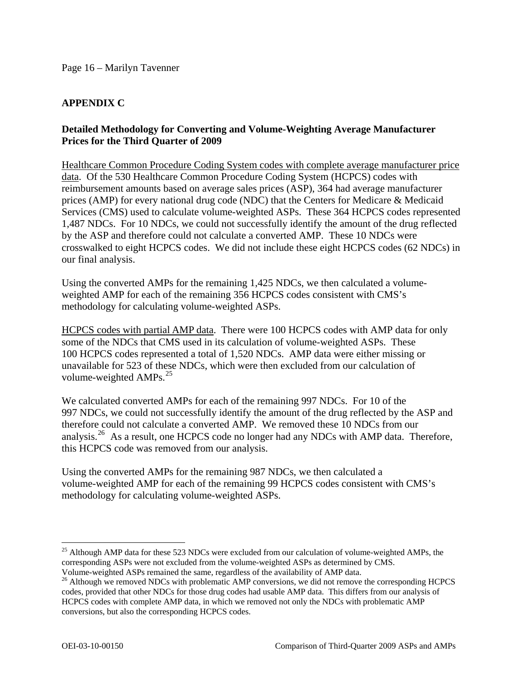## **APPENDIX C**

## **Detailed Methodology for Converting and Volume-Weighting Average Manufacturer Prices for the Third Quarter of 2009**

Healthcare Common Procedure Coding System codes with complete average manufacturer price data. Of the 530 Healthcare Common Procedure Coding System (HCPCS) codes with reimbursement amounts based on average sales prices (ASP), 364 had average manufacturer prices (AMP) for every national drug code (NDC) that the Centers for Medicare & Medicaid Services (CMS) used to calculate volume-weighted ASPs. These 364 HCPCS codes represented 1,487 NDCs. For 10 NDCs, we could not successfully identify the amount of the drug reflected by the ASP and therefore could not calculate a converted AMP. These 10 NDCs were crosswalked to eight HCPCS codes. We did not include these eight HCPCS codes (62 NDCs) in our final analysis.

Using the converted AMPs for the remaining 1,425 NDCs, we then calculated a volumeweighted AMP for each of the remaining 356 HCPCS codes consistent with CMS's methodology for calculating volume-weighted ASPs.

HCPCS codes with partial AMP data. There were 100 HCPCS codes with AMP data for only some of the NDCs that CMS used in its calculation of volume-weighted ASPs. These 100 HCPCS codes represented a total of 1,520 NDCs. AMP data were either missing or unavailable for 523 of these NDCs, which were then excluded from our calculation of volume-weighted  $AMPs.<sup>25</sup>$  $AMPs.<sup>25</sup>$  $AMPs.<sup>25</sup>$ 

We calculated converted AMPs for each of the remaining 997 NDCs. For 10 of the 997 NDCs, we could not successfully identify the amount of the drug reflected by the ASP and therefore could not calculate a converted AMP. We removed these 10 NDCs from our analysis.<sup>[26](#page-15-1)</sup> As a result, one HCPCS code no longer had any NDCs with AMP data. Therefore, this HCPCS code was removed from our analysis.

Using the converted AMPs for the remaining 987 NDCs, we then calculated a volume-weighted AMP for each of the remaining 99 HCPCS codes consistent with CMS's methodology for calculating volume-weighted ASPs.

<span id="page-15-0"></span><sup>&</sup>lt;sup>25</sup> Although AMP data for these 523 NDCs were excluded from our calculation of volume-weighted AMPs, the corresponding ASPs were not excluded from the volume-weighted ASPs as determined by CMS. Volume-weighted ASPs remained the same, regardless of the availability of AMP data.

<span id="page-15-1"></span><sup>&</sup>lt;sup>26</sup> Although we removed NDCs with problematic AMP conversions, we did not remove the corresponding HCPCS codes, provided that other NDCs for those drug codes had usable AMP data. This differs from our analysis of HCPCS codes with complete AMP data, in which we removed not only the NDCs with problematic AMP conversions, but also the corresponding HCPCS codes.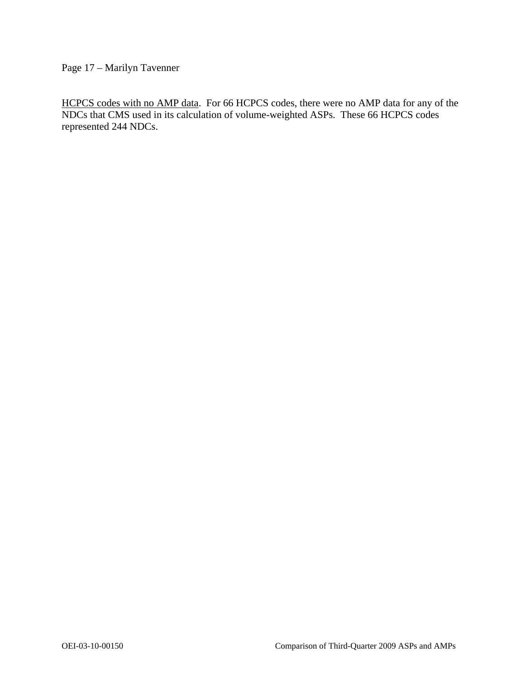Page 17 – Marilyn Tavenner

HCPCS codes with no AMP data. For 66 HCPCS codes, there were no AMP data for any of the NDCs that CMS used in its calculation of volume-weighted ASPs. These 66 HCPCS codes represented 244 NDCs.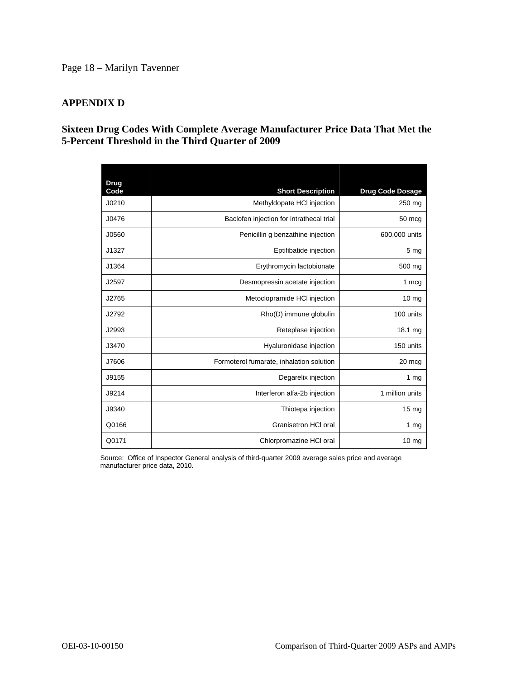## Page 18 – Marilyn Tavenner

## **APPENDIX D**

## **Sixteen Drug Codes With Complete Average Manufacturer Price Data That Met the 5-Percent Threshold in the Third Quarter of 2009**

| Drug<br>Code | <b>Short Description</b>                 | <b>Drug Code Dosage</b> |
|--------------|------------------------------------------|-------------------------|
| J0210        | Methyldopate HCI injection               | 250 mg                  |
| J0476        | Baclofen injection for intrathecal trial | 50 mcg                  |
| J0560        | Penicillin g benzathine injection        | 600,000 units           |
| J1327        | Eptifibatide injection                   | 5 <sub>mg</sub>         |
| J1364        | Erythromycin lactobionate                | 500 mg                  |
| J2597        | Desmopressin acetate injection           | 1 mcg                   |
| J2765        | Metoclopramide HCI injection             | 10 <sub>mg</sub>        |
| J2792        | Rho(D) immune globulin                   | 100 units               |
| J2993        | Reteplase injection                      | 18.1 mg                 |
| J3470        | Hyaluronidase injection                  | 150 units               |
| J7606        | Formoterol fumarate, inhalation solution | 20 mcg                  |
| J9155        | Degarelix injection                      | 1 <sub>mq</sub>         |
| J9214        | Interferon alfa-2b injection             | 1 million units         |
| J9340        | Thiotepa injection                       | $15 \text{ mg}$         |
| Q0166        | Granisetron HCI oral                     | 1 $mg$                  |
| Q0171        | Chlorpromazine HCI oral                  | 10 <sub>mg</sub>        |

Source: Office of Inspector General analysis of third-quarter 2009 average sales price and average manufacturer price data, 2010.